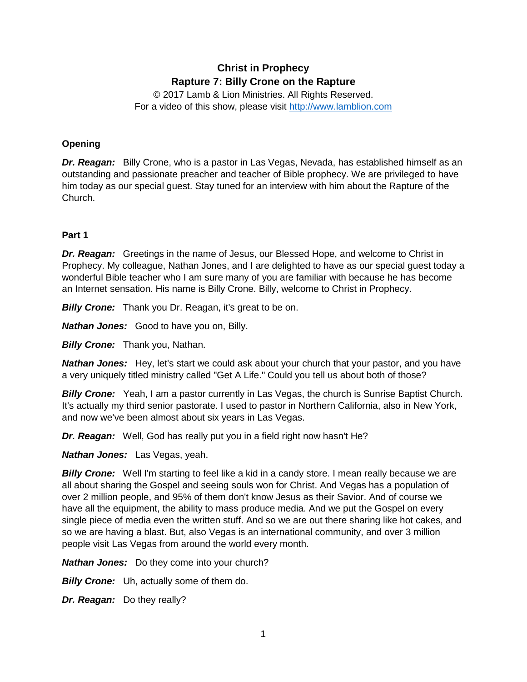# **Christ in Prophecy Rapture 7: Billy Crone on the Rapture**

© 2017 Lamb & Lion Ministries. All Rights Reserved. For a video of this show, please visit [http://www.lamblion.com](http://www.lamblion.com/)

# **Opening**

*Dr. Reagan:* Billy Crone, who is a pastor in Las Vegas, Nevada, has established himself as an outstanding and passionate preacher and teacher of Bible prophecy. We are privileged to have him today as our special guest. Stay tuned for an interview with him about the Rapture of the Church.

## **Part 1**

*Dr. Reagan:* Greetings in the name of Jesus, our Blessed Hope, and welcome to Christ in Prophecy. My colleague, Nathan Jones, and I are delighted to have as our special guest today a wonderful Bible teacher who I am sure many of you are familiar with because he has become an Internet sensation. His name is Billy Crone. Billy, welcome to Christ in Prophecy.

*Billy Crone:* Thank you Dr. Reagan, it's great to be on.

*Nathan Jones:* Good to have you on, Billy.

*Billy Crone:* Thank you, Nathan.

*Nathan Jones:* Hey, let's start we could ask about your church that your pastor, and you have a very uniquely titled ministry called "Get A Life." Could you tell us about both of those?

**Billy Crone:** Yeah, I am a pastor currently in Las Vegas, the church is Sunrise Baptist Church. It's actually my third senior pastorate. I used to pastor in Northern California, also in New York, and now we've been almost about six years in Las Vegas.

*Dr. Reagan:* Well, God has really put you in a field right now hasn't He?

*Nathan Jones:* Las Vegas, yeah.

**Billy Crone:** Well I'm starting to feel like a kid in a candy store. I mean really because we are all about sharing the Gospel and seeing souls won for Christ. And Vegas has a population of over 2 million people, and 95% of them don't know Jesus as their Savior. And of course we have all the equipment, the ability to mass produce media. And we put the Gospel on every single piece of media even the written stuff. And so we are out there sharing like hot cakes, and so we are having a blast. But, also Vegas is an international community, and over 3 million people visit Las Vegas from around the world every month.

*Nathan Jones:* Do they come into your church?

**Billy Crone:** Uh, actually some of them do.

*Dr. Reagan:* Do they really?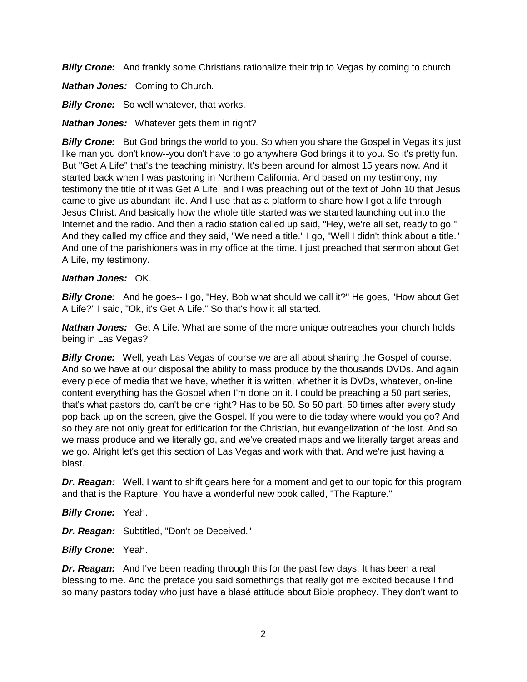**Billy Crone:** And frankly some Christians rationalize their trip to Vegas by coming to church.

*Nathan Jones:* Coming to Church.

**Billy Crone:** So well whatever, that works.

*Nathan Jones:* Whatever gets them in right?

**Billy Crone:** But God brings the world to you. So when you share the Gospel in Vegas it's just like man you don't know--you don't have to go anywhere God brings it to you. So it's pretty fun. But "Get A Life" that's the teaching ministry. It's been around for almost 15 years now. And it started back when I was pastoring in Northern California. And based on my testimony; my testimony the title of it was Get A Life, and I was preaching out of the text of John 10 that Jesus came to give us abundant life. And I use that as a platform to share how I got a life through Jesus Christ. And basically how the whole title started was we started launching out into the Internet and the radio. And then a radio station called up said, "Hey, we're all set, ready to go." And they called my office and they said, "We need a title." I go, "Well I didn't think about a title." And one of the parishioners was in my office at the time. I just preached that sermon about Get A Life, my testimony.

## *Nathan Jones:* OK.

**Billy Crone:** And he goes-- I go, "Hey, Bob what should we call it?" He goes, "How about Get A Life?" I said, "Ok, it's Get A Life." So that's how it all started.

*Nathan Jones:* Get A Life. What are some of the more unique outreaches your church holds being in Las Vegas?

*Billy Crone:* Well, yeah Las Vegas of course we are all about sharing the Gospel of course. And so we have at our disposal the ability to mass produce by the thousands DVDs. And again every piece of media that we have, whether it is written, whether it is DVDs, whatever, on-line content everything has the Gospel when I'm done on it. I could be preaching a 50 part series, that's what pastors do, can't be one right? Has to be 50. So 50 part, 50 times after every study pop back up on the screen, give the Gospel. If you were to die today where would you go? And so they are not only great for edification for the Christian, but evangelization of the lost. And so we mass produce and we literally go, and we've created maps and we literally target areas and we go. Alright let's get this section of Las Vegas and work with that. And we're just having a blast.

*Dr. Reagan:* Well, I want to shift gears here for a moment and get to our topic for this program and that is the Rapture. You have a wonderful new book called, "The Rapture."

*Billy Crone:* Yeah.

*Dr. Reagan:* Subtitled, "Don't be Deceived."

*Billy Crone:* Yeah.

**Dr. Reagan:** And I've been reading through this for the past few days. It has been a real blessing to me. And the preface you said somethings that really got me excited because I find so many pastors today who just have a blasé attitude about Bible prophecy. They don't want to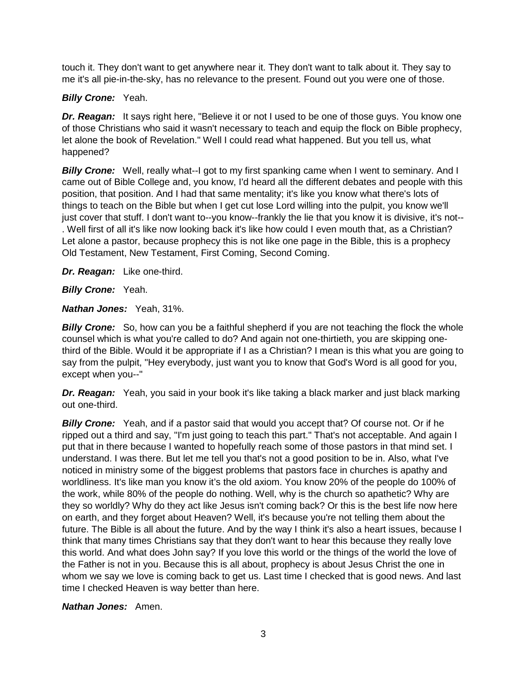touch it. They don't want to get anywhere near it. They don't want to talk about it. They say to me it's all pie-in-the-sky, has no relevance to the present. Found out you were one of those.

# *Billy Crone:* Yeah.

*Dr. Reagan:* It says right here, "Believe it or not I used to be one of those guys. You know one of those Christians who said it wasn't necessary to teach and equip the flock on Bible prophecy, let alone the book of Revelation." Well I could read what happened. But you tell us, what happened?

**Billy Crone:** Well, really what--I got to my first spanking came when I went to seminary. And I came out of Bible College and, you know, I'd heard all the different debates and people with this position, that position. And I had that same mentality; it's like you know what there's lots of things to teach on the Bible but when I get cut lose Lord willing into the pulpit, you know we'll just cover that stuff. I don't want to--you know--frankly the lie that you know it is divisive, it's not-- . Well first of all it's like now looking back it's like how could I even mouth that, as a Christian? Let alone a pastor, because prophecy this is not like one page in the Bible, this is a prophecy Old Testament, New Testament, First Coming, Second Coming.

*Dr. Reagan:* Like one-third.

*Billy Crone:* Yeah.

*Nathan Jones:* Yeah, 31%.

**Billy Crone:** So, how can you be a faithful shepherd if you are not teaching the flock the whole counsel which is what you're called to do? And again not one-thirtieth, you are skipping onethird of the Bible. Would it be appropriate if I as a Christian? I mean is this what you are going to say from the pulpit, "Hey everybody, just want you to know that God's Word is all good for you, except when you--"

**Dr. Reagan:** Yeah, you said in your book it's like taking a black marker and just black marking out one-third.

*Billy Crone:* Yeah, and if a pastor said that would you accept that? Of course not. Or if he ripped out a third and say, "I'm just going to teach this part." That's not acceptable. And again I put that in there because I wanted to hopefully reach some of those pastors in that mind set. I understand. I was there. But let me tell you that's not a good position to be in. Also, what I've noticed in ministry some of the biggest problems that pastors face in churches is apathy and worldliness. It's like man you know it's the old axiom. You know 20% of the people do 100% of the work, while 80% of the people do nothing. Well, why is the church so apathetic? Why are they so worldly? Why do they act like Jesus isn't coming back? Or this is the best life now here on earth, and they forget about Heaven? Well, it's because you're not telling them about the future. The Bible is all about the future. And by the way I think it's also a heart issues, because I think that many times Christians say that they don't want to hear this because they really love this world. And what does John say? If you love this world or the things of the world the love of the Father is not in you. Because this is all about, prophecy is about Jesus Christ the one in whom we say we love is coming back to get us. Last time I checked that is good news. And last time I checked Heaven is way better than here.

*Nathan Jones:* Amen.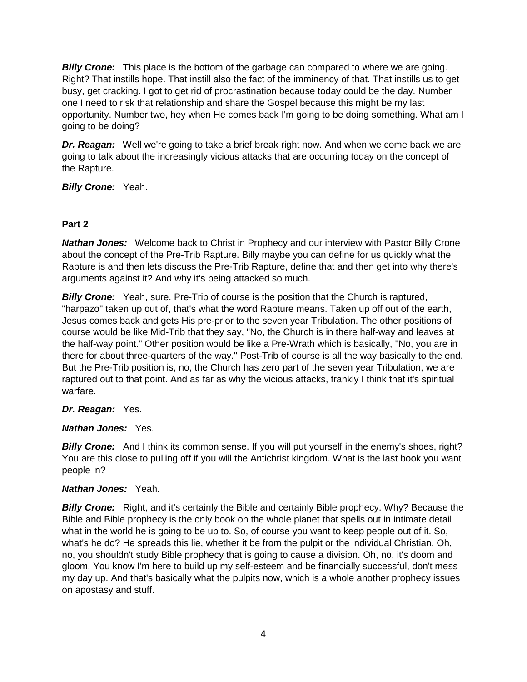*Billy Crone:* This place is the bottom of the garbage can compared to where we are going. Right? That instills hope. That instill also the fact of the imminency of that. That instills us to get busy, get cracking. I got to get rid of procrastination because today could be the day. Number one I need to risk that relationship and share the Gospel because this might be my last opportunity. Number two, hey when He comes back I'm going to be doing something. What am I going to be doing?

*Dr. Reagan:* Well we're going to take a brief break right now. And when we come back we are going to talk about the increasingly vicious attacks that are occurring today on the concept of the Rapture.

*Billy Crone:* Yeah.

## **Part 2**

*Nathan Jones:* Welcome back to Christ in Prophecy and our interview with Pastor Billy Crone about the concept of the Pre-Trib Rapture. Billy maybe you can define for us quickly what the Rapture is and then lets discuss the Pre-Trib Rapture, define that and then get into why there's arguments against it? And why it's being attacked so much.

**Billy Crone:** Yeah, sure. Pre-Trib of course is the position that the Church is raptured, "harpazo" taken up out of, that's what the word Rapture means. Taken up off out of the earth, Jesus comes back and gets His pre-prior to the seven year Tribulation. The other positions of course would be like Mid-Trib that they say, "No, the Church is in there half-way and leaves at the half-way point." Other position would be like a Pre-Wrath which is basically, "No, you are in there for about three-quarters of the way." Post-Trib of course is all the way basically to the end. But the Pre-Trib position is, no, the Church has zero part of the seven year Tribulation, we are raptured out to that point. And as far as why the vicious attacks, frankly I think that it's spiritual warfare.

## *Dr. Reagan:* Yes.

## *Nathan Jones:* Yes.

**Billy Crone:** And I think its common sense. If you will put yourself in the enemy's shoes, right? You are this close to pulling off if you will the Antichrist kingdom. What is the last book you want people in?

## *Nathan Jones:* Yeah.

**Billy Crone:** Right, and it's certainly the Bible and certainly Bible prophecy. Why? Because the Bible and Bible prophecy is the only book on the whole planet that spells out in intimate detail what in the world he is going to be up to. So, of course you want to keep people out of it. So, what's he do? He spreads this lie, whether it be from the pulpit or the individual Christian. Oh, no, you shouldn't study Bible prophecy that is going to cause a division. Oh, no, it's doom and gloom. You know I'm here to build up my self-esteem and be financially successful, don't mess my day up. And that's basically what the pulpits now, which is a whole another prophecy issues on apostasy and stuff.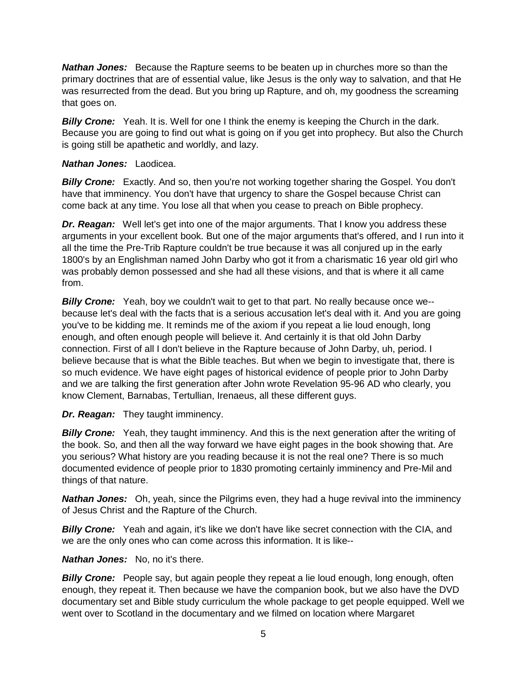*Nathan Jones:* Because the Rapture seems to be beaten up in churches more so than the primary doctrines that are of essential value, like Jesus is the only way to salvation, and that He was resurrected from the dead. But you bring up Rapture, and oh, my goodness the screaming that goes on.

*Billy Crone:* Yeah. It is. Well for one I think the enemy is keeping the Church in the dark. Because you are going to find out what is going on if you get into prophecy. But also the Church is going still be apathetic and worldly, and lazy.

#### *Nathan Jones:* Laodicea.

**Billy Crone:** Exactly. And so, then you're not working together sharing the Gospel. You don't have that imminency. You don't have that urgency to share the Gospel because Christ can come back at any time. You lose all that when you cease to preach on Bible prophecy.

*Dr. Reagan:* Well let's get into one of the major arguments. That I know you address these arguments in your excellent book. But one of the major arguments that's offered, and I run into it all the time the Pre-Trib Rapture couldn't be true because it was all conjured up in the early 1800's by an Englishman named John Darby who got it from a charismatic 16 year old girl who was probably demon possessed and she had all these visions, and that is where it all came from.

*Billy Crone:* Yeah, boy we couldn't wait to get to that part. No really because once we- because let's deal with the facts that is a serious accusation let's deal with it. And you are going you've to be kidding me. It reminds me of the axiom if you repeat a lie loud enough, long enough, and often enough people will believe it. And certainly it is that old John Darby connection. First of all I don't believe in the Rapture because of John Darby, uh, period. I believe because that is what the Bible teaches. But when we begin to investigate that, there is so much evidence. We have eight pages of historical evidence of people prior to John Darby and we are talking the first generation after John wrote Revelation 95-96 AD who clearly, you know Clement, Barnabas, Tertullian, Irenaeus, all these different guys.

*Dr. Reagan:* They taught imminency.

**Billy Crone:** Yeah, they taught imminency. And this is the next generation after the writing of the book. So, and then all the way forward we have eight pages in the book showing that. Are you serious? What history are you reading because it is not the real one? There is so much documented evidence of people prior to 1830 promoting certainly imminency and Pre-Mil and things of that nature.

*Nathan Jones:* Oh, yeah, since the Pilgrims even, they had a huge revival into the imminency of Jesus Christ and the Rapture of the Church.

**Billy Crone:** Yeah and again, it's like we don't have like secret connection with the CIA, and we are the only ones who can come across this information. It is like--

## *Nathan Jones:* No, no it's there.

**Billy Crone:** People say, but again people they repeat a lie loud enough, long enough, often enough, they repeat it. Then because we have the companion book, but we also have the DVD documentary set and Bible study curriculum the whole package to get people equipped. Well we went over to Scotland in the documentary and we filmed on location where Margaret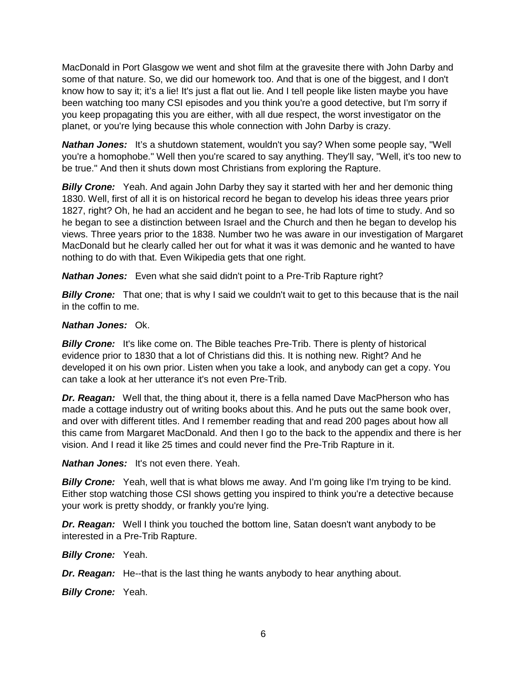MacDonald in Port Glasgow we went and shot film at the gravesite there with John Darby and some of that nature. So, we did our homework too. And that is one of the biggest, and I don't know how to say it; it's a lie! It's just a flat out lie. And I tell people like listen maybe you have been watching too many CSI episodes and you think you're a good detective, but I'm sorry if you keep propagating this you are either, with all due respect, the worst investigator on the planet, or you're lying because this whole connection with John Darby is crazy.

*Nathan Jones:* It's a shutdown statement, wouldn't you say? When some people say, "Well you're a homophobe." Well then you're scared to say anything. They'll say, "Well, it's too new to be true." And then it shuts down most Christians from exploring the Rapture.

**Billy Crone:** Yeah. And again John Darby they say it started with her and her demonic thing 1830. Well, first of all it is on historical record he began to develop his ideas three years prior 1827, right? Oh, he had an accident and he began to see, he had lots of time to study. And so he began to see a distinction between Israel and the Church and then he began to develop his views. Three years prior to the 1838. Number two he was aware in our investigation of Margaret MacDonald but he clearly called her out for what it was it was demonic and he wanted to have nothing to do with that. Even Wikipedia gets that one right.

*Nathan Jones:* Even what she said didn't point to a Pre-Trib Rapture right?

*Billy Crone:* That one; that is why I said we couldn't wait to get to this because that is the nail in the coffin to me.

#### *Nathan Jones:* Ok.

**Billy Crone:** It's like come on. The Bible teaches Pre-Trib. There is plenty of historical evidence prior to 1830 that a lot of Christians did this. It is nothing new. Right? And he developed it on his own prior. Listen when you take a look, and anybody can get a copy. You can take a look at her utterance it's not even Pre-Trib.

*Dr. Reagan:* Well that, the thing about it, there is a fella named Dave MacPherson who has made a cottage industry out of writing books about this. And he puts out the same book over, and over with different titles. And I remember reading that and read 200 pages about how all this came from Margaret MacDonald. And then I go to the back to the appendix and there is her vision. And I read it like 25 times and could never find the Pre-Trib Rapture in it.

*Nathan Jones:* It's not even there. Yeah.

**Billy Crone:** Yeah, well that is what blows me away. And I'm going like I'm trying to be kind. Either stop watching those CSI shows getting you inspired to think you're a detective because your work is pretty shoddy, or frankly you're lying.

*Dr. Reagan:* Well I think you touched the bottom line, Satan doesn't want anybody to be interested in a Pre-Trib Rapture.

*Billy Crone:* Yeah.

*Dr. Reagan:* He--that is the last thing he wants anybody to hear anything about.

*Billy Crone:* Yeah.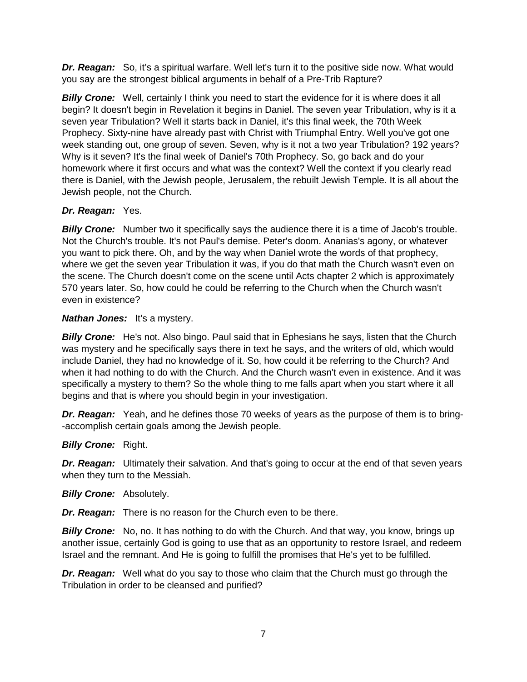*Dr. Reagan:* So, it's a spiritual warfare. Well let's turn it to the positive side now. What would you say are the strongest biblical arguments in behalf of a Pre-Trib Rapture?

*Billy Crone:* Well, certainly I think you need to start the evidence for it is where does it all begin? It doesn't begin in Revelation it begins in Daniel. The seven year Tribulation, why is it a seven year Tribulation? Well it starts back in Daniel, it's this final week, the 70th Week Prophecy. Sixty-nine have already past with Christ with Triumphal Entry. Well you've got one week standing out, one group of seven. Seven, why is it not a two year Tribulation? 192 years? Why is it seven? It's the final week of Daniel's 70th Prophecy. So, go back and do your homework where it first occurs and what was the context? Well the context if you clearly read there is Daniel, with the Jewish people, Jerusalem, the rebuilt Jewish Temple. It is all about the Jewish people, not the Church.

## *Dr. Reagan:* Yes.

**Billy Crone:** Number two it specifically says the audience there it is a time of Jacob's trouble. Not the Church's trouble. It's not Paul's demise. Peter's doom. Ananias's agony, or whatever you want to pick there. Oh, and by the way when Daniel wrote the words of that prophecy, where we get the seven year Tribulation it was, if you do that math the Church wasn't even on the scene. The Church doesn't come on the scene until Acts chapter 2 which is approximately 570 years later. So, how could he could be referring to the Church when the Church wasn't even in existence?

## **Nathan Jones:** It's a mystery.

*Billy Crone:* He's not. Also bingo. Paul said that in Ephesians he says, listen that the Church was mystery and he specifically says there in text he says, and the writers of old, which would include Daniel, they had no knowledge of it. So, how could it be referring to the Church? And when it had nothing to do with the Church. And the Church wasn't even in existence. And it was specifically a mystery to them? So the whole thing to me falls apart when you start where it all begins and that is where you should begin in your investigation.

*Dr. Reagan:* Yeah, and he defines those 70 weeks of years as the purpose of them is to bring- -accomplish certain goals among the Jewish people.

## *Billy Crone:* Right.

**Dr. Reagan:** Ultimately their salvation. And that's going to occur at the end of that seven years when they turn to the Messiah.

*Billy Crone:* Absolutely.

*Dr. Reagan:* There is no reason for the Church even to be there.

*Billy Crone:* No, no. It has nothing to do with the Church. And that way, you know, brings up another issue, certainly God is going to use that as an opportunity to restore Israel, and redeem Israel and the remnant. And He is going to fulfill the promises that He's yet to be fulfilled.

*Dr. Reagan:* Well what do you say to those who claim that the Church must go through the Tribulation in order to be cleansed and purified?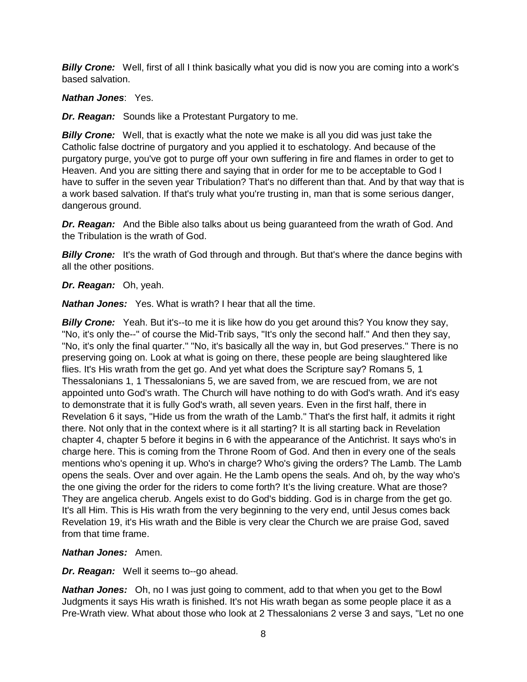*Billy Crone:* Well, first of all I think basically what you did is now you are coming into a work's based salvation.

## *Nathan Jones*: Yes.

*Dr. Reagan:* Sounds like a Protestant Purgatory to me.

*Billy Crone:* Well, that is exactly what the note we make is all you did was just take the Catholic false doctrine of purgatory and you applied it to eschatology. And because of the purgatory purge, you've got to purge off your own suffering in fire and flames in order to get to Heaven. And you are sitting there and saying that in order for me to be acceptable to God I have to suffer in the seven year Tribulation? That's no different than that. And by that way that is a work based salvation. If that's truly what you're trusting in, man that is some serious danger, dangerous ground.

*Dr. Reagan:* And the Bible also talks about us being guaranteed from the wrath of God. And the Tribulation is the wrath of God.

**Billy Crone:** It's the wrath of God through and through. But that's where the dance begins with all the other positions.

## *Dr. Reagan:* Oh, yeah.

*Nathan Jones:* Yes. What is wrath? I hear that all the time.

**Billy Crone:** Yeah. But it's--to me it is like how do you get around this? You know they say, "No, it's only the--" of course the Mid-Trib says, "It's only the second half." And then they say, "No, it's only the final quarter." "No, it's basically all the way in, but God preserves." There is no preserving going on. Look at what is going on there, these people are being slaughtered like flies. It's His wrath from the get go. And yet what does the Scripture say? Romans 5, 1 Thessalonians 1, 1 Thessalonians 5, we are saved from, we are rescued from, we are not appointed unto God's wrath. The Church will have nothing to do with God's wrath. And it's easy to demonstrate that it is fully God's wrath, all seven years. Even in the first half, there in Revelation 6 it says, "Hide us from the wrath of the Lamb." That's the first half, it admits it right there. Not only that in the context where is it all starting? It is all starting back in Revelation chapter 4, chapter 5 before it begins in 6 with the appearance of the Antichrist. It says who's in charge here. This is coming from the Throne Room of God. And then in every one of the seals mentions who's opening it up. Who's in charge? Who's giving the orders? The Lamb. The Lamb opens the seals. Over and over again. He the Lamb opens the seals. And oh, by the way who's the one giving the order for the riders to come forth? It's the living creature. What are those? They are angelica cherub. Angels exist to do God's bidding. God is in charge from the get go. It's all Him. This is His wrath from the very beginning to the very end, until Jesus comes back Revelation 19, it's His wrath and the Bible is very clear the Church we are praise God, saved from that time frame.

## *Nathan Jones:* Amen.

*Dr. Reagan:* Well it seems to--go ahead.

*Nathan Jones:* Oh, no I was just going to comment, add to that when you get to the Bowl Judgments it says His wrath is finished. It's not His wrath began as some people place it as a Pre-Wrath view. What about those who look at 2 Thessalonians 2 verse 3 and says, "Let no one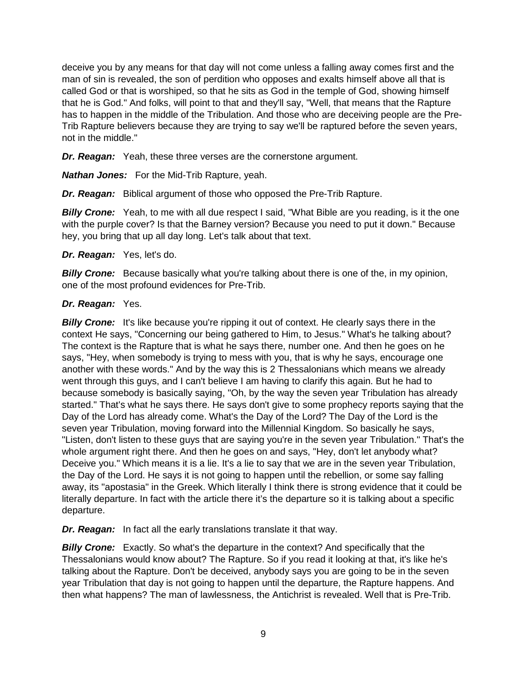deceive you by any means for that day will not come unless a falling away comes first and the man of sin is revealed, the son of perdition who opposes and exalts himself above all that is called God or that is worshiped, so that he sits as God in the temple of God, showing himself that he is God." And folks, will point to that and they'll say, "Well, that means that the Rapture has to happen in the middle of the Tribulation. And those who are deceiving people are the Pre-Trib Rapture believers because they are trying to say we'll be raptured before the seven years, not in the middle."

*Dr. Reagan:* Yeah, these three verses are the cornerstone argument.

*Nathan Jones:* For the Mid-Trib Rapture, yeah.

*Dr. Reagan:* Biblical argument of those who opposed the Pre-Trib Rapture.

**Billy Crone:** Yeah, to me with all due respect I said, "What Bible are you reading, is it the one with the purple cover? Is that the Barney version? Because you need to put it down." Because hey, you bring that up all day long. Let's talk about that text.

#### *Dr. Reagan:* Yes, let's do.

**Billy Crone:** Because basically what you're talking about there is one of the, in my opinion, one of the most profound evidences for Pre-Trib.

#### *Dr. Reagan:* Yes.

**Billy Crone:** It's like because you're ripping it out of context. He clearly says there in the context He says, "Concerning our being gathered to Him, to Jesus." What's he talking about? The context is the Rapture that is what he says there, number one. And then he goes on he says, "Hey, when somebody is trying to mess with you, that is why he says, encourage one another with these words." And by the way this is 2 Thessalonians which means we already went through this guys, and I can't believe I am having to clarify this again. But he had to because somebody is basically saying, "Oh, by the way the seven year Tribulation has already started." That's what he says there. He says don't give to some prophecy reports saying that the Day of the Lord has already come. What's the Day of the Lord? The Day of the Lord is the seven year Tribulation, moving forward into the Millennial Kingdom. So basically he says, "Listen, don't listen to these guys that are saying you're in the seven year Tribulation." That's the whole argument right there. And then he goes on and says, "Hey, don't let anybody what? Deceive you." Which means it is a lie. It's a lie to say that we are in the seven year Tribulation, the Day of the Lord. He says it is not going to happen until the rebellion, or some say falling away, its "apostasia" in the Greek. Which literally I think there is strong evidence that it could be literally departure. In fact with the article there it's the departure so it is talking about a specific departure.

*Dr. Reagan:* In fact all the early translations translate it that way.

**Billy Crone:** Exactly. So what's the departure in the context? And specifically that the Thessalonians would know about? The Rapture. So if you read it looking at that, it's like he's talking about the Rapture. Don't be deceived, anybody says you are going to be in the seven year Tribulation that day is not going to happen until the departure, the Rapture happens. And then what happens? The man of lawlessness, the Antichrist is revealed. Well that is Pre-Trib.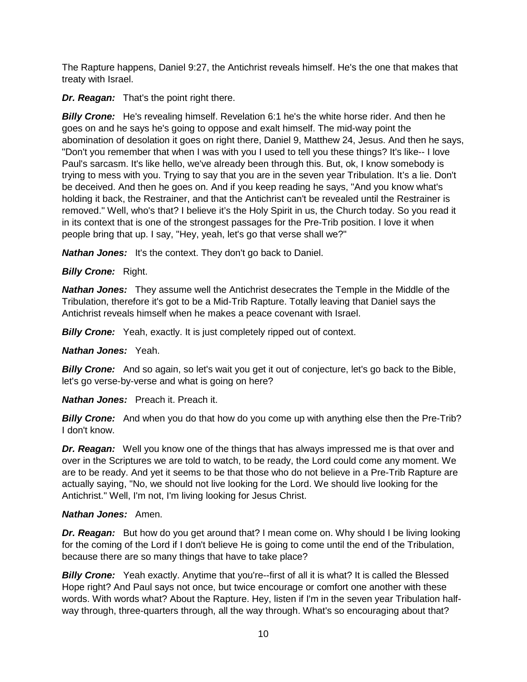The Rapture happens, Daniel 9:27, the Antichrist reveals himself. He's the one that makes that treaty with Israel.

*Dr. Reagan:* That's the point right there.

*Billy Crone:* He's revealing himself. Revelation 6:1 he's the white horse rider. And then he goes on and he says he's going to oppose and exalt himself. The mid-way point the abomination of desolation it goes on right there, Daniel 9, Matthew 24, Jesus. And then he says, "Don't you remember that when I was with you I used to tell you these things? It's like-- I love Paul's sarcasm. It's like hello, we've already been through this. But, ok, I know somebody is trying to mess with you. Trying to say that you are in the seven year Tribulation. It's a lie. Don't be deceived. And then he goes on. And if you keep reading he says, "And you know what's holding it back, the Restrainer, and that the Antichrist can't be revealed until the Restrainer is removed." Well, who's that? I believe it's the Holy Spirit in us, the Church today. So you read it in its context that is one of the strongest passages for the Pre-Trib position. I love it when people bring that up. I say, "Hey, yeah, let's go that verse shall we?"

*Nathan Jones:* It's the context. They don't go back to Daniel.

## *Billy Crone:* Right.

*Nathan Jones:* They assume well the Antichrist desecrates the Temple in the Middle of the Tribulation, therefore it's got to be a Mid-Trib Rapture. Totally leaving that Daniel says the Antichrist reveals himself when he makes a peace covenant with Israel.

**Billy Crone:** Yeah, exactly. It is just completely ripped out of context.

## *Nathan Jones:* Yeah.

**Billy Crone:** And so again, so let's wait you get it out of conjecture, let's go back to the Bible, let's go verse-by-verse and what is going on here?

*Nathan Jones:* Preach it. Preach it.

*Billy Crone:* And when you do that how do you come up with anything else then the Pre-Trib? I don't know.

*Dr. Reagan:* Well you know one of the things that has always impressed me is that over and over in the Scriptures we are told to watch, to be ready, the Lord could come any moment. We are to be ready. And yet it seems to be that those who do not believe in a Pre-Trib Rapture are actually saying, "No, we should not live looking for the Lord. We should live looking for the Antichrist." Well, I'm not, I'm living looking for Jesus Christ.

## *Nathan Jones:* Amen.

*Dr. Reagan:* But how do you get around that? I mean come on. Why should I be living looking for the coming of the Lord if I don't believe He is going to come until the end of the Tribulation, because there are so many things that have to take place?

**Billy Crone:** Yeah exactly. Anytime that you're--first of all it is what? It is called the Blessed Hope right? And Paul says not once, but twice encourage or comfort one another with these words. With words what? About the Rapture. Hey, listen if I'm in the seven year Tribulation halfway through, three-quarters through, all the way through. What's so encouraging about that?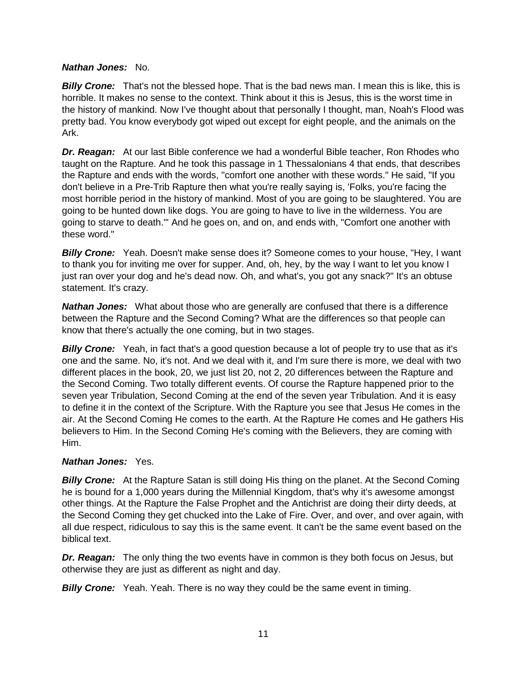#### *Nathan Jones:* No.

*Billy Crone:* That's not the blessed hope. That is the bad news man. I mean this is like, this is horrible. It makes no sense to the context. Think about it this is Jesus, this is the worst time in the history of mankind. Now I've thought about that personally I thought, man, Noah's Flood was pretty bad. You know everybody got wiped out except for eight people, and the animals on the Ark.

*Dr. Reagan:* At our last Bible conference we had a wonderful Bible teacher, Ron Rhodes who taught on the Rapture. And he took this passage in 1 Thessalonians 4 that ends, that describes the Rapture and ends with the words, "comfort one another with these words." He said, "If you don't believe in a Pre-Trib Rapture then what you're really saying is, 'Folks, you're facing the most horrible period in the history of mankind. Most of you are going to be slaughtered. You are going to be hunted down like dogs. You are going to have to live in the wilderness. You are going to starve to death.'" And he goes on, and on, and ends with, "Comfort one another with these word."

*Billy Crone:* Yeah. Doesn't make sense does it? Someone comes to your house, "Hey, I want to thank you for inviting me over for supper. And, oh, hey, by the way I want to let you know I just ran over your dog and he's dead now. Oh, and what's, you got any snack?" It's an obtuse statement. It's crazy.

**Nathan Jones:** What about those who are generally are confused that there is a difference between the Rapture and the Second Coming? What are the differences so that people can know that there's actually the one coming, but in two stages.

**Billy Crone:** Yeah, in fact that's a good question because a lot of people try to use that as it's one and the same. No, it's not. And we deal with it, and I'm sure there is more, we deal with two different places in the book, 20, we just list 20, not 2, 20 differences between the Rapture and the Second Coming. Two totally different events. Of course the Rapture happened prior to the seven year Tribulation, Second Coming at the end of the seven year Tribulation. And it is easy to define it in the context of the Scripture. With the Rapture you see that Jesus He comes in the air. At the Second Coming He comes to the earth. At the Rapture He comes and He gathers His believers to Him. In the Second Coming He's coming with the Believers, they are coming with Him.

## *Nathan Jones:* Yes.

**Billy Crone:** At the Rapture Satan is still doing His thing on the planet. At the Second Coming he is bound for a 1,000 years during the Millennial Kingdom, that's why it's awesome amongst other things. At the Rapture the False Prophet and the Antichrist are doing their dirty deeds, at the Second Coming they get chucked into the Lake of Fire. Over, and over, and over again, with all due respect, ridiculous to say this is the same event. It can't be the same event based on the biblical text.

*Dr. Reagan:* The only thing the two events have in common is they both focus on Jesus, but otherwise they are just as different as night and day.

**Billy Crone:** Yeah. Yeah. There is no way they could be the same event in timing.